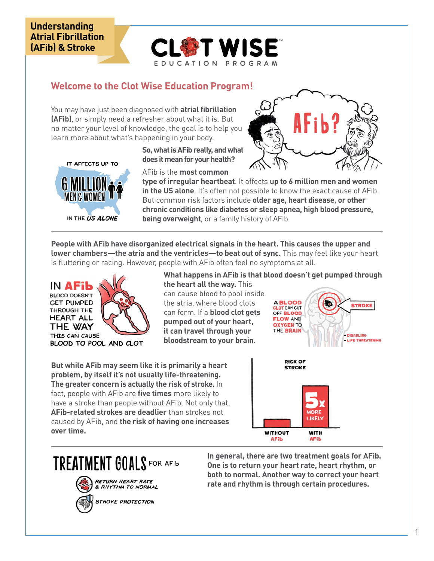## **Understanding Atrial Fibrillation (AFib) & Stroke**



## **Welcome to the Clot Wise Education Program!**

You may have just been diagnosed with **atrial fibrillation (AFib)**, or simply need a refresher about what it is. But no matter your level of knowledge, the goal is to help you learn more about what's happening in your body.



**So, what is AFib really, and what does it mean for your health?**

AFib is the **most common** 

**type of irregular heartbeat**. It affects **up to 6 million men and women in the US alone**. It's often not possible to know the exact cause of AFib. But common risk factors include **older age, heart disease, or other chronic conditions like diabetes or sleep apnea, high blood pressure, being overweight**, or a family history of AFib.

ŁJ

**People with AFib have disorganized electrical signals in the heart. This causes the upper and lower chambers—the atria and the ventricles—to beat out of sync.** This may feel like your heart is fluttering or racing. However, people with AFib often feel no symptoms at all.



**What happens in AFib is that blood doesn't get pumped through the heart all the way.** This can cause blood to pool inside the atria, where blood clots can form. If a **blood clot gets pumped out of your heart, it can travel through your bloodstream to your brain**.

**But while AFib may seem like it is primarily a heart problem, by itself it's not usually life-threatening. The greater concern is actually the risk of stroke.** In fact, people with AFib are **five times** more likely to have a stroke than people without AFib. Not only that, **AFib-related strokes are deadlier** than strokes not caused by AFib, and **the risk of having one increases over time.**





TREATMENT GOALS FOR AFIL



**In general, there are two treatment goals for AFib. One is to return your heart rate, heart rhythm, or both to normal. Another way to correct your heart rate and rhythm is through certain procedures.**